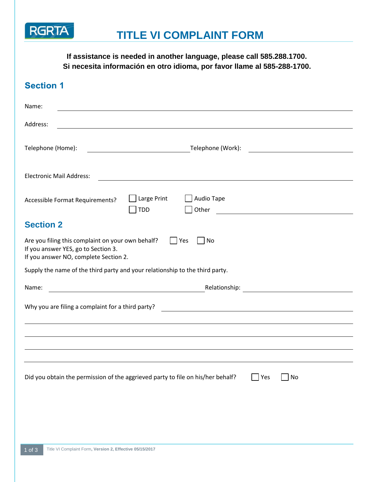

**If assistance is needed in another language, please call 585.288.1700. Si necesita información en otro idioma, por favor llame al 585-288-1700.**

| <b>Section 1</b>                                                                                                                  |                                                                                                                       |
|-----------------------------------------------------------------------------------------------------------------------------------|-----------------------------------------------------------------------------------------------------------------------|
| Name:                                                                                                                             |                                                                                                                       |
| Address:                                                                                                                          |                                                                                                                       |
| Telephone (Home):                                                                                                                 | Telephone (Work):                                                                                                     |
| <b>Electronic Mail Address:</b>                                                                                                   |                                                                                                                       |
| Accessible Format Requirements?                                                                                                   | Large Print<br>Audio Tape<br>Other<br><b>TDD</b>                                                                      |
| <b>Section 2</b>                                                                                                                  |                                                                                                                       |
| Are you filing this complaint on your own behalf?<br>If you answer YES, go to Section 3.<br>If you answer NO, complete Section 2. | Yes<br>No                                                                                                             |
| Supply the name of the third party and your relationship to the third party.                                                      |                                                                                                                       |
| Name:                                                                                                                             | Relationship: <u>______________________________</u>                                                                   |
| Why you are filing a complaint for a third party?                                                                                 | <u> 1980 - Jan Stein Stein, fransk politik forsk politik (d. 1980)</u>                                                |
|                                                                                                                                   |                                                                                                                       |
|                                                                                                                                   |                                                                                                                       |
|                                                                                                                                   |                                                                                                                       |
|                                                                                                                                   | Did you obtain the permission of the aggrieved party to file on his/her behalf?<br>$\overline{\phantom{a}}$ Yes<br>No |
|                                                                                                                                   |                                                                                                                       |
|                                                                                                                                   |                                                                                                                       |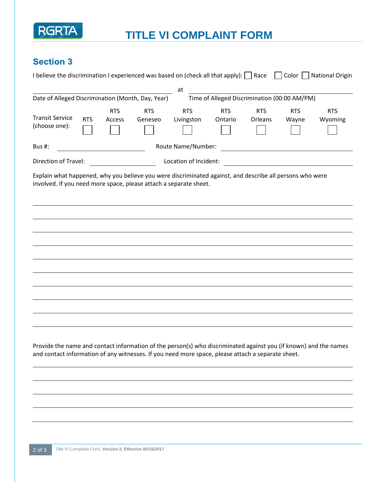

## **TITLE VI COMPLAINT FORM**

### **Section 3**

| I believe the discrimination I experienced was based on (check all that apply): $\Box$ Race                                                                                                                           |            |                      |                       |                          |                                              |                       | $Color \mid \cdot$  | <b>National Origin</b> |
|-----------------------------------------------------------------------------------------------------------------------------------------------------------------------------------------------------------------------|------------|----------------------|-----------------------|--------------------------|----------------------------------------------|-----------------------|---------------------|------------------------|
| Date of Alleged Discrimination (Month, Day, Year)                                                                                                                                                                     |            |                      |                       | at                       | Time of Alleged Discrimination (00:00 AM/PM) |                       |                     |                        |
| <b>Transit Service</b><br>(choose one):                                                                                                                                                                               | <b>RTS</b> | <b>RTS</b><br>Access | <b>RTS</b><br>Geneseo | <b>RTS</b><br>Livingston | <b>RTS</b><br>Ontario                        | <b>RTS</b><br>Orleans | <b>RTS</b><br>Wayne | <b>RTS</b><br>Wyoming  |
| Bus #:                                                                                                                                                                                                                |            |                      |                       | Route Name/Number:       |                                              |                       |                     |                        |
| Direction of Travel:                                                                                                                                                                                                  |            |                      |                       | Location of Incident:    |                                              |                       |                     |                        |
| Explain what happened, why you believe you were discriminated against, and describe all persons who were<br>involved. If you need more space, please attach a separate sheet.                                         |            |                      |                       |                          |                                              |                       |                     |                        |
|                                                                                                                                                                                                                       |            |                      |                       |                          |                                              |                       |                     |                        |
|                                                                                                                                                                                                                       |            |                      |                       |                          |                                              |                       |                     |                        |
| Provide the name and contact information of the person(s) who discriminated against you (if known) and the names<br>and contact information of any witnesses. If you need more space, please attach a separate sheet. |            |                      |                       |                          |                                              |                       |                     |                        |
|                                                                                                                                                                                                                       |            |                      |                       |                          |                                              |                       |                     |                        |
|                                                                                                                                                                                                                       |            |                      |                       |                          |                                              |                       |                     |                        |
|                                                                                                                                                                                                                       |            |                      |                       |                          |                                              |                       |                     |                        |
|                                                                                                                                                                                                                       |            |                      |                       |                          |                                              |                       |                     |                        |